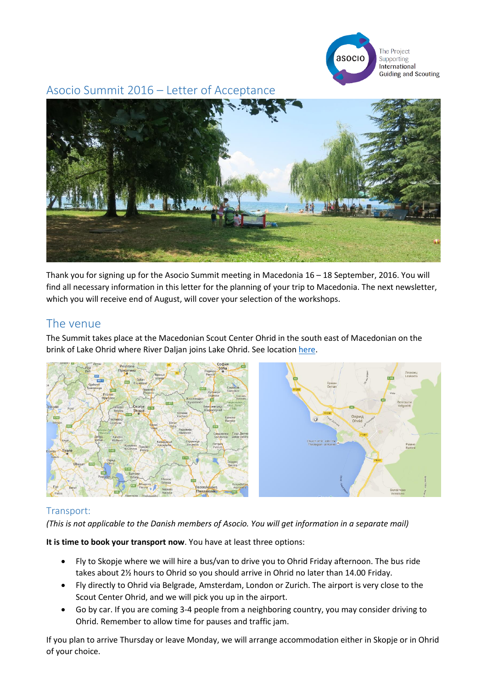

Asocio Summit 2016 – Letter of Acceptance



Thank you for signing up for the Asocio Summit meeting in Macedonia 16 – 18 September, 2016. You will find all necessary information in this letter for the planning of your trip to Macedonia. The next newsletter, which you will receive end of August, will cover your selection of the workshops.

## The venue

The Summit takes place at the Macedonian Scout Center Ohrid in the south east of Macedonian on the brink of Lake Ohrid where River Daljan joins Lake Ohrid. See location [here.](https://www.google.dk/maps/place/Ohrid+6000,+Makedonien/@41.1226029,20.7669184,15.54z/data=!4m5!3m4!1s0x1350db6587ea6657:0xc46cfc65390bc9d3!8m2!3d41.1230977!4d20.8016481?hl=da)



## Transport:

*(This is not applicable to the Danish members of Asocio. You will get information in a separate mail)*

**It is time to book your transport now**. You have at least three options:

- Fly to Skopje where we will hire a bus/van to drive you to Ohrid Friday afternoon. The bus ride takes about 2½ hours to Ohrid so you should arrive in Ohrid no later than 14.00 Friday.
- Fly directly to Ohrid via Belgrade, Amsterdam, London or Zurich. The airport is very close to the Scout Center Ohrid, and we will pick you up in the airport.
- Go by car. If you are coming 3-4 people from a neighboring country, you may consider driving to Ohrid. Remember to allow time for pauses and traffic jam.

If you plan to arrive Thursday or leave Monday, we will arrange accommodation either in Skopje or in Ohrid of your choice.